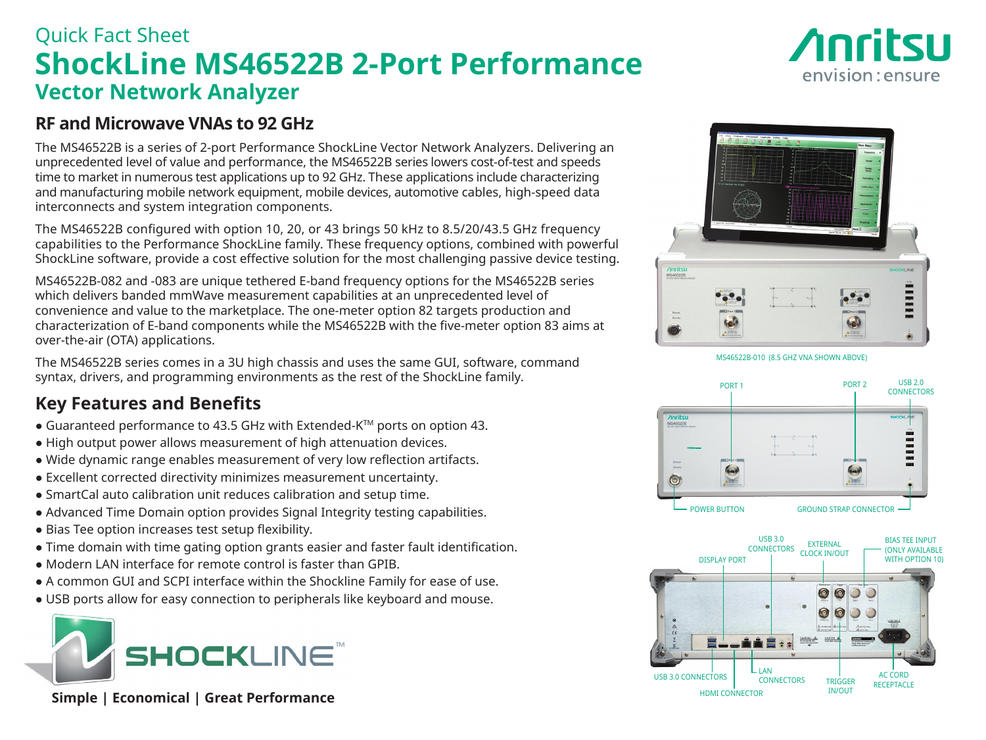# Quick Fact Sheet **ShockLine MS46522B 2-Port Performance Vector Network Analyzer**

# *Anritsu* envision: ensure

### **RF and Microwave VNAs to 92 GHz**

The MS46522B is a series of 2-port Performance ShockLine Vector Network Analyzers. Delivering an unprecedented level of value and performance, the MS46522B series lowers cost-of-test and speeds time to market in numerous test applications up to 92 GHz. These applications include characterizing and manufacturing mobile network equipment, mobile devices, automotive cables, high-speed data interconnects and system integration components.

The MS46522B configured with option 10, 20, or 43 brings 50 kHz to 8.5/20/43.5 GHz frequency capabilities to the Performance ShockLine family. These frequency options, combined with powerful ShockLine software, provide a cost effective solution for the most challenging passive device testing.

MS46522B-082 and -083 are unique tethered E-band frequency options for the MS46522B series which delivers banded mmWave measurement capabilities at an unprecedented level of convenience and value to the marketplace. The one-meter option 82 targets production and characterization of E-band components while the MS46522B with the five-meter option 83 aims at over-the-air (OTA) applications.

The MS46522B series comes in a 3U high chassis and uses the same GUI, software, command syntax, drivers, and programming environments as the rest of the ShockLine family.

### **Key Features and Benefits**

- Guaranteed performance to 43.5 GHz with Extended-K™ ports on option 43.
- High output power allows measurement of high attenuation devices.
- Wide dynamic range enables measurement of very low reflection artifacts.
- Excellent corrected directivity minimizes measurement uncertainty.
- SmartCal auto calibration unit reduces calibration and setup time.
- Advanced Time Domain option provides Signal Integrity testing capabilities.
- Bias Tee option increases test setup flexibility.
- Time domain with time gating option grants easier and faster fault identification.
- Modern LAN interface for remote control is faster than GPIB.
- A common GUI and SCPI interface within the Shockline Family for ease of use.
- USB ports allow for easy connection to peripherals like keyboard and mouse.



 **Simple | Economical | Great Performance**



MS46522B-010 (8.5 GHZ VNA SHOWN ABOVE)